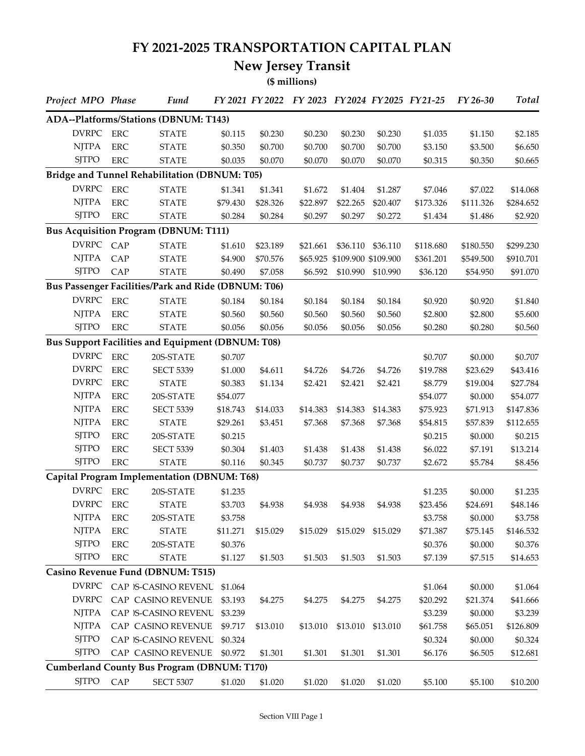## **FY 2021-2025 TRANSPORTATION CAPITAL PLAN**

## **New Jersey Transit**

**(\$ millions)**

| Project MPO Phase |            | <b>Fund</b>                                         |          |          | FY 2021 FY 2022 FY 2023 FY 2024 FY 2025 FY 21-25 |                              |                   |           | FY 26-30  | <b>Total</b> |
|-------------------|------------|-----------------------------------------------------|----------|----------|--------------------------------------------------|------------------------------|-------------------|-----------|-----------|--------------|
|                   |            | ADA--Platforms/Stations (DBNUM: T143)               |          |          |                                                  |                              |                   |           |           |              |
| <b>DVRPC</b>      | <b>ERC</b> | <b>STATE</b>                                        | \$0.115  | \$0.230  | \$0.230                                          | \$0.230                      | \$0.230           | \$1.035   | \$1.150   | \$2.185      |
| <b>NJTPA</b>      | <b>ERC</b> | <b>STATE</b>                                        | \$0.350  | \$0.700  | \$0.700                                          | \$0.700                      | \$0.700           | \$3.150   | \$3.500   | \$6.650      |
| <b>SJTPO</b>      | <b>ERC</b> | <b>STATE</b>                                        | \$0.035  | \$0.070  | \$0.070                                          | \$0.070                      | \$0.070           | \$0.315   | \$0.350   | \$0.665      |
|                   |            | Bridge and Tunnel Rehabilitation (DBNUM: T05)       |          |          |                                                  |                              |                   |           |           |              |
| <b>DVRPC</b>      | <b>ERC</b> | <b>STATE</b>                                        | \$1.341  | \$1.341  | \$1.672                                          | \$1.404                      | \$1.287           | \$7.046   | \$7.022   | \$14.068     |
| <b>NJTPA</b>      | <b>ERC</b> | <b>STATE</b>                                        | \$79.430 | \$28.326 | \$22.897                                         | \$22.265                     | \$20.407          | \$173.326 | \$111.326 | \$284.652    |
| <b>SITPO</b>      | <b>ERC</b> | <b>STATE</b>                                        | \$0.284  | \$0.284  | \$0.297                                          | \$0.297                      | \$0.272           | \$1.434   | \$1.486   | \$2.920      |
|                   |            | <b>Bus Acquisition Program (DBNUM: T111)</b>        |          |          |                                                  |                              |                   |           |           |              |
| DVRPC CAP         |            | <b>STATE</b>                                        | \$1.610  | \$23.189 | \$21.661                                         | \$36.110                     | \$36.110          | \$118.680 | \$180.550 | \$299.230    |
| <b>NJTPA</b>      | CAP        | <b>STATE</b>                                        | \$4.900  | \$70.576 |                                                  | \$65.925 \$109.900 \$109.900 |                   | \$361.201 | \$549.500 | \$910.701    |
| <b>SJTPO</b>      | CAP        | <b>STATE</b>                                        | \$0.490  | \$7.058  | \$6.592                                          | \$10.990                     | \$10.990          | \$36.120  | \$54.950  | \$91.070     |
|                   |            | Bus Passenger Facilities/Park and Ride (DBNUM: T06) |          |          |                                                  |                              |                   |           |           |              |
| <b>DVRPC</b>      | <b>ERC</b> | <b>STATE</b>                                        | \$0.184  | \$0.184  | \$0.184                                          | \$0.184                      | \$0.184           | \$0.920   | \$0.920   | \$1.840      |
| <b>NJTPA</b>      | <b>ERC</b> | <b>STATE</b>                                        | \$0.560  | \$0.560  | \$0.560                                          | \$0.560                      | \$0.560           | \$2.800   | \$2.800   | \$5.600      |
| <b>SJTPO</b>      | <b>ERC</b> | <b>STATE</b>                                        | \$0.056  | \$0.056  | \$0.056                                          | \$0.056                      | \$0.056           | \$0.280   | \$0.280   | \$0.560      |
|                   |            | Bus Support Facilities and Equipment (DBNUM: T08)   |          |          |                                                  |                              |                   |           |           |              |
| <b>DVRPC</b>      | <b>ERC</b> | 20S-STATE                                           | \$0.707  |          |                                                  |                              |                   | \$0.707   | \$0.000   | \$0.707      |
| <b>DVRPC</b>      | <b>ERC</b> | <b>SECT 5339</b>                                    | \$1.000  | \$4.611  | \$4.726                                          | \$4.726                      | \$4.726           | \$19.788  | \$23.629  | \$43.416     |
| <b>DVRPC</b>      | <b>ERC</b> | <b>STATE</b>                                        | \$0.383  | \$1.134  | \$2.421                                          | \$2.421                      | \$2.421           | \$8.779   | \$19.004  | \$27.784     |
| <b>NJTPA</b>      | ERC        | 20S-STATE                                           | \$54.077 |          |                                                  |                              |                   | \$54.077  | \$0.000   | \$54.077     |
| <b>NJTPA</b>      | <b>ERC</b> | <b>SECT 5339</b>                                    | \$18.743 | \$14.033 | \$14.383                                         | \$14.383                     | \$14.383          | \$75.923  | \$71.913  | \$147.836    |
| <b>NJTPA</b>      | ERC        | <b>STATE</b>                                        | \$29.261 | \$3.451  | \$7.368                                          | \$7.368                      | \$7.368           | \$54.815  | \$57.839  | \$112.655    |
| <b>SJTPO</b>      | <b>ERC</b> | 20S-STATE                                           | \$0.215  |          |                                                  |                              |                   | \$0.215   | \$0.000   | \$0.215      |
| <b>SJTPO</b>      | <b>ERC</b> | <b>SECT 5339</b>                                    | \$0.304  | \$1.403  | \$1.438                                          | \$1.438                      | \$1.438           | \$6.022   | \$7.191   | \$13.214     |
| <b>SJTPO</b>      | ERC        | <b>STATE</b>                                        | \$0.116  | \$0.345  | \$0.737                                          | \$0.737                      | \$0.737           | \$2.672   | \$5.784   | \$8.456      |
|                   |            | Capital Program Implementation (DBNUM: T68)         |          |          |                                                  |                              |                   |           |           |              |
| <b>DVRPC</b>      | <b>ERC</b> | 20S-STATE                                           | \$1.235  |          |                                                  |                              |                   | \$1.235   | \$0.000   | \$1.235      |
| <b>DVRPC</b>      | <b>ERC</b> | <b>STATE</b>                                        | \$3.703  | \$4.938  | \$4.938                                          | \$4.938                      | \$4.938           | \$23.456  | \$24.691  | \$48.146     |
| <b>NJTPA</b>      | <b>ERC</b> | 20S-STATE                                           | \$3.758  |          |                                                  |                              |                   | \$3.758   | \$0.000   | \$3.758      |
| <b>NJTPA</b>      | <b>ERC</b> | <b>STATE</b>                                        | \$11.271 | \$15.029 | \$15.029                                         |                              | \$15.029 \$15.029 | \$71.387  | \$75.145  | \$146.532    |
| <b>SJTPO</b>      | <b>ERC</b> | 20S-STATE                                           | \$0.376  |          |                                                  |                              |                   | \$0.376   | \$0.000   | \$0.376      |
| <b>SJTPO</b>      | <b>ERC</b> | <b>STATE</b>                                        | \$1.127  | \$1.503  | \$1.503                                          | \$1.503                      | \$1.503           | \$7.139   | \$7.515   | \$14.653     |
|                   |            | Casino Revenue Fund (DBNUM: T515)                   |          |          |                                                  |                              |                   |           |           |              |
|                   |            | DVRPC CAP )S-CASINO REVENU \$1.064                  |          |          |                                                  |                              |                   | \$1.064   | \$0.000   | \$1.064      |
| <b>DVRPC</b>      |            | CAP CASINO REVENUE                                  | \$3.193  | \$4.275  | \$4.275                                          | \$4.275                      | \$4.275           | \$20.292  | \$21.374  | \$41.666     |
| <b>NJTPA</b>      |            | CAP )S-CASINO REVENU                                | \$3.239  |          |                                                  |                              |                   | \$3.239   | \$0.000   | \$3.239      |
| <b>NJTPA</b>      |            | CAP CASINO REVENUE                                  | \$9.717  | \$13.010 | \$13.010                                         | \$13.010                     | \$13.010          | \$61.758  | \$65.051  | \$126.809    |
| <b>SJTPO</b>      |            | CAP )S-CASINO REVENU                                | \$0.324  |          |                                                  |                              |                   | \$0.324   | \$0.000   | \$0.324      |
| <b>SJTPO</b>      |            | CAP CASINO REVENUE                                  | \$0.972  | \$1.301  | \$1.301                                          | \$1.301                      | \$1.301           | \$6.176   | \$6.505   | \$12.681     |
|                   |            | <b>Cumberland County Bus Program (DBNUM: T170)</b>  |          |          |                                                  |                              |                   |           |           |              |
| <b>SJTPO</b>      | CAP        | <b>SECT 5307</b>                                    | \$1.020  | \$1.020  | \$1.020                                          | \$1.020                      | \$1.020           | \$5.100   | \$5.100   | \$10.200     |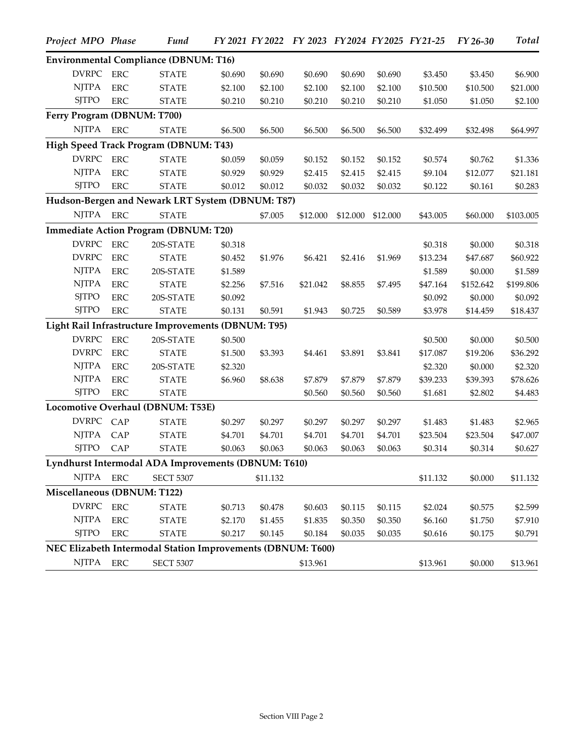| Project MPO Phase           |             | <b>Fund</b>                                                 |         |          | FY 2021 FY 2022 FY 2023 FY 2024 FY 2025 FY 21-25 |          |          |          | FY 26-30  | <b>Total</b> |
|-----------------------------|-------------|-------------------------------------------------------------|---------|----------|--------------------------------------------------|----------|----------|----------|-----------|--------------|
|                             |             | <b>Environmental Compliance (DBNUM: T16)</b>                |         |          |                                                  |          |          |          |           |              |
| DVRPC                       | <b>ERC</b>  | <b>STATE</b>                                                | \$0.690 | \$0.690  | \$0.690                                          | \$0.690  | \$0.690  | \$3.450  | \$3.450   | \$6.900      |
| <b>NJTPA</b>                | <b>ERC</b>  | <b>STATE</b>                                                | \$2.100 | \$2.100  | \$2.100                                          | \$2.100  | \$2.100  | \$10.500 | \$10.500  | \$21.000     |
| <b>SJTPO</b>                | <b>ERC</b>  | <b>STATE</b>                                                | \$0.210 | \$0.210  | \$0.210                                          | \$0.210  | \$0.210  | \$1.050  | \$1.050   | \$2.100      |
| Ferry Program (DBNUM: T700) |             |                                                             |         |          |                                                  |          |          |          |           |              |
| <b>NJTPA</b>                | <b>ERC</b>  | <b>STATE</b>                                                | \$6.500 | \$6.500  | \$6.500                                          | \$6.500  | \$6.500  | \$32.499 | \$32.498  | \$64.997     |
|                             |             | High Speed Track Program (DBNUM: T43)                       |         |          |                                                  |          |          |          |           |              |
| <b>DVRPC</b>                | <b>ERC</b>  | <b>STATE</b>                                                | \$0.059 | \$0.059  | \$0.152                                          | \$0.152  | \$0.152  | \$0.574  | \$0.762   | \$1.336      |
| <b>NJTPA</b>                | <b>ERC</b>  | <b>STATE</b>                                                | \$0.929 | \$0.929  | \$2.415                                          | \$2.415  | \$2.415  | \$9.104  | \$12.077  | \$21.181     |
| <b>SJTPO</b>                | <b>ERC</b>  | <b>STATE</b>                                                | \$0.012 | \$0.012  | \$0.032                                          | \$0.032  | \$0.032  | \$0.122  | \$0.161   | \$0.283      |
|                             |             | Hudson-Bergen and Newark LRT System (DBNUM: T87)            |         |          |                                                  |          |          |          |           |              |
| NJTPA ERC                   |             | <b>STATE</b>                                                |         | \$7.005  | \$12.000                                         | \$12.000 | \$12.000 | \$43.005 | \$60.000  | \$103.005    |
|                             |             | <b>Immediate Action Program (DBNUM: T20)</b>                |         |          |                                                  |          |          |          |           |              |
| <b>DVRPC</b>                | ${\rm ERC}$ | 20S-STATE                                                   | \$0.318 |          |                                                  |          |          | \$0.318  | \$0.000   | \$0.318      |
| <b>DVRPC</b>                | <b>ERC</b>  | <b>STATE</b>                                                | \$0.452 | \$1.976  | \$6.421                                          | \$2.416  | \$1.969  | \$13.234 | \$47.687  | \$60.922     |
| <b>NJTPA</b>                | <b>ERC</b>  | 20S-STATE                                                   | \$1.589 |          |                                                  |          |          | \$1.589  | \$0.000   | \$1.589      |
| <b>NJTPA</b>                | <b>ERC</b>  | <b>STATE</b>                                                | \$2.256 | \$7.516  | \$21.042                                         | \$8.855  | \$7.495  | \$47.164 | \$152.642 | \$199.806    |
| <b>SJTPO</b>                | <b>ERC</b>  | 20S-STATE                                                   | \$0.092 |          |                                                  |          |          | \$0.092  | \$0.000   | \$0.092      |
| <b>SJTPO</b>                | <b>ERC</b>  | <b>STATE</b>                                                | \$0.131 | \$0.591  | \$1.943                                          | \$0.725  | \$0.589  | \$3.978  | \$14.459  | \$18.437     |
|                             |             | Light Rail Infrastructure Improvements (DBNUM: T95)         |         |          |                                                  |          |          |          |           |              |
| <b>DVRPC</b>                | <b>ERC</b>  | 20S-STATE                                                   | \$0.500 |          |                                                  |          |          | \$0.500  | \$0.000   | \$0.500      |
| <b>DVRPC</b>                | <b>ERC</b>  | <b>STATE</b>                                                | \$1.500 | \$3.393  | \$4.461                                          | \$3.891  | \$3.841  | \$17.087 | \$19.206  | \$36.292     |
| <b>NJTPA</b>                | <b>ERC</b>  | 20S-STATE                                                   | \$2.320 |          |                                                  |          |          | \$2.320  | \$0.000   | \$2.320      |
| <b>NJTPA</b>                | <b>ERC</b>  | <b>STATE</b>                                                | \$6.960 | \$8.638  | \$7.879                                          | \$7.879  | \$7.879  | \$39.233 | \$39.393  | \$78.626     |
| <b>SJTPO</b>                | <b>ERC</b>  | <b>STATE</b>                                                |         |          | \$0.560                                          | \$0.560  | \$0.560  | \$1.681  | \$2.802   | \$4.483      |
|                             |             | Locomotive Overhaul (DBNUM: T53E)                           |         |          |                                                  |          |          |          |           |              |
| <b>DVRPC</b>                | CAP         | <b>STATE</b>                                                | \$0.297 | \$0.297  | \$0.297                                          | \$0.297  | \$0.297  | \$1.483  | \$1.483   | \$2.965      |
| <b>NJTPA</b>                | CAP         | <b>STATE</b>                                                | \$4.701 | \$4.701  | \$4.701                                          | \$4.701  | \$4.701  | \$23.504 | \$23.504  | \$47.007     |
| <b>SJTPO</b>                | CAP         | <b>STATE</b>                                                | \$0.063 | \$0.063  | \$0.063                                          | \$0.063  | \$0.063  | \$0.314  | \$0.314   | \$0.627      |
|                             |             | Lyndhurst Intermodal ADA Improvements (DBNUM: T610)         |         |          |                                                  |          |          |          |           |              |
| NJTPA ERC                   |             | <b>SECT 5307</b>                                            |         | \$11.132 |                                                  |          |          | \$11.132 | \$0.000   | \$11.132     |
| Miscellaneous (DBNUM: T122) |             |                                                             |         |          |                                                  |          |          |          |           |              |
| <b>DVRPC</b>                | ${\rm ERC}$ | <b>STATE</b>                                                | \$0.713 | \$0.478  | \$0.603                                          | \$0.115  | \$0.115  | \$2.024  | \$0.575   | \$2.599      |
| <b>NJTPA</b>                | <b>ERC</b>  | <b>STATE</b>                                                | \$2.170 | \$1.455  | \$1.835                                          | \$0.350  | \$0.350  | \$6.160  | \$1.750   | \$7.910      |
| <b>SJTPO</b>                | ERC         | <b>STATE</b>                                                | \$0.217 | \$0.145  | \$0.184                                          | \$0.035  | \$0.035  | \$0.616  | \$0.175   | \$0.791      |
|                             |             | NEC Elizabeth Intermodal Station Improvements (DBNUM: T600) |         |          |                                                  |          |          |          |           |              |
| NJTPA                       | <b>ERC</b>  | <b>SECT 5307</b>                                            |         |          | \$13.961                                         |          |          | \$13.961 | \$0.000   | \$13.961     |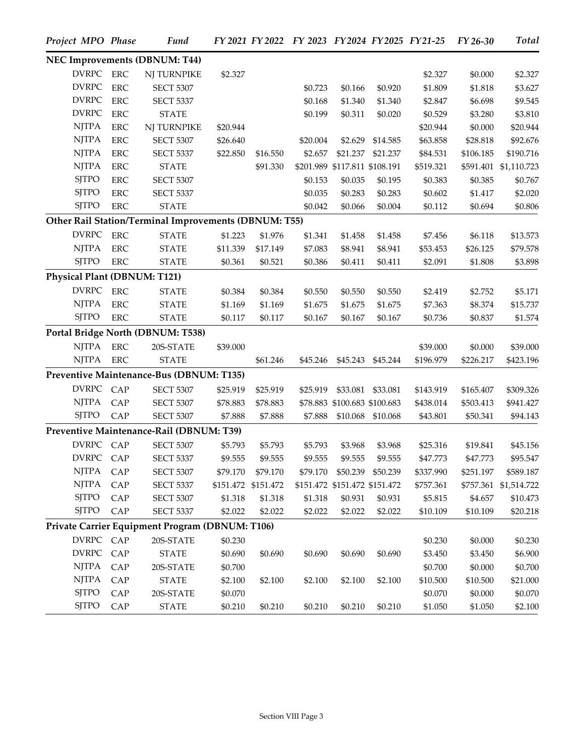| Project MPO Phase            |             | <b>Fund</b>                                           |          |                     |          |                               |                   | FY 2021 FY 2022 FY 2023 FY 2024 FY 2025 FY 21-25 | FY 26-30  | <b>Total</b>          |
|------------------------------|-------------|-------------------------------------------------------|----------|---------------------|----------|-------------------------------|-------------------|--------------------------------------------------|-----------|-----------------------|
|                              |             | NEC Improvements (DBNUM: T44)                         |          |                     |          |                               |                   |                                                  |           |                       |
| <b>DVRPC</b>                 | <b>ERC</b>  | NJ TURNPIKE                                           | \$2.327  |                     |          |                               |                   | \$2.327                                          | \$0.000   | \$2.327               |
| <b>DVRPC</b>                 | <b>ERC</b>  | <b>SECT 5307</b>                                      |          |                     | \$0.723  | \$0.166                       | \$0.920           | \$1.809                                          | \$1.818   | \$3.627               |
| <b>DVRPC</b>                 | <b>ERC</b>  | <b>SECT 5337</b>                                      |          |                     | \$0.168  | \$1.340                       | \$1.340           | \$2.847                                          | \$6.698   | \$9.545               |
| <b>DVRPC</b>                 | <b>ERC</b>  | <b>STATE</b>                                          |          |                     | \$0.199  | \$0.311                       | \$0.020           | \$0.529                                          | \$3.280   | \$3.810               |
| <b>NJTPA</b>                 | <b>ERC</b>  | NJ TURNPIKE                                           | \$20.944 |                     |          |                               |                   | \$20.944                                         | \$0.000   | \$20.944              |
| <b>NJTPA</b>                 | <b>ERC</b>  | <b>SECT 5307</b>                                      | \$26.640 |                     | \$20.004 | \$2.629                       | \$14.585          | \$63.858                                         | \$28.818  | \$92.676              |
| <b>NJTPA</b>                 | ${\rm ERC}$ | <b>SECT 5337</b>                                      | \$22.850 | \$16.550            | \$2.657  | \$21.237                      | \$21.237          | \$84.531                                         | \$106.185 | \$190.716             |
| <b>NJTPA</b>                 | <b>ERC</b>  | <b>STATE</b>                                          |          | \$91.330            |          | \$201.989 \$117.811 \$108.191 |                   | \$519.321                                        | \$591.401 | \$1,110.723           |
| <b>SJTPO</b>                 | <b>ERC</b>  | <b>SECT 5307</b>                                      |          |                     | \$0.153  | \$0.035                       | \$0.195           | \$0.383                                          | \$0.385   | \$0.767               |
| <b>SJTPO</b>                 | <b>ERC</b>  | <b>SECT 5337</b>                                      |          |                     | \$0.035  | \$0.283                       | \$0.283           | \$0.602                                          | \$1.417   | \$2.020               |
| <b>SJTPO</b>                 | <b>ERC</b>  | <b>STATE</b>                                          |          |                     | \$0.042  | \$0.066                       | \$0.004           | \$0.112                                          | \$0.694   | \$0.806               |
|                              |             | Other Rail Station/Terminal Improvements (DBNUM: T55) |          |                     |          |                               |                   |                                                  |           |                       |
| <b>DVRPC</b>                 | <b>ERC</b>  | <b>STATE</b>                                          | \$1.223  | \$1.976             | \$1.341  | \$1.458                       | \$1.458           | \$7.456                                          | \$6.118   | \$13.573              |
| <b>NJTPA</b>                 | <b>ERC</b>  | <b>STATE</b>                                          | \$11.339 | \$17.149            | \$7.083  | \$8.941                       | \$8.941           | \$53.453                                         | \$26.125  | \$79.578              |
| <b>SJTPO</b>                 | <b>ERC</b>  | <b>STATE</b>                                          | \$0.361  | \$0.521             | \$0.386  | \$0.411                       | \$0.411           | \$2.091                                          | \$1.808   | \$3.898               |
| Physical Plant (DBNUM: T121) |             |                                                       |          |                     |          |                               |                   |                                                  |           |                       |
| <b>DVRPC</b>                 | <b>ERC</b>  | <b>STATE</b>                                          | \$0.384  | \$0.384             | \$0.550  | \$0.550                       | \$0.550           | \$2.419                                          | \$2.752   | \$5.171               |
| <b>NJTPA</b>                 | <b>ERC</b>  | <b>STATE</b>                                          | \$1.169  | \$1.169             | \$1.675  | \$1.675                       | \$1.675           | \$7.363                                          | \$8.374   | \$15.737              |
| <b>SJTPO</b>                 | <b>ERC</b>  | <b>STATE</b>                                          | \$0.117  | \$0.117             | \$0.167  | \$0.167                       | \$0.167           | \$0.736                                          | \$0.837   | \$1.574               |
|                              |             | Portal Bridge North (DBNUM: T538)                     |          |                     |          |                               |                   |                                                  |           |                       |
| <b>NJTPA</b>                 | <b>ERC</b>  | 20S-STATE                                             | \$39.000 |                     |          |                               |                   | \$39.000                                         | \$0.000   | \$39.000              |
| <b>NJTPA</b>                 | <b>ERC</b>  | <b>STATE</b>                                          |          | \$61.246            | \$45.246 |                               | \$45.243 \$45.244 | \$196.979                                        | \$226.217 | \$423.196             |
|                              |             | Preventive Maintenance-Bus (DBNUM: T135)              |          |                     |          |                               |                   |                                                  |           |                       |
| DVRPC                        | CAP         | <b>SECT 5307</b>                                      | \$25.919 | \$25.919            | \$25.919 | \$33.081                      | \$33.081          | \$143.919                                        | \$165.407 | \$309.326             |
| <b>NJTPA</b>                 | CAP         | <b>SECT 5307</b>                                      | \$78.883 | \$78.883            |          | \$78.883 \$100.683 \$100.683  |                   | \$438.014                                        | \$503.413 | \$941.427             |
| <b>SJTPO</b>                 | CAP         | <b>SECT 5307</b>                                      | \$7.888  | \$7.888             | \$7.888  | \$10.068                      | \$10.068          | \$43.801                                         | \$50.341  | \$94.143              |
|                              |             | Preventive Maintenance-Rail (DBNUM: T39)              |          |                     |          |                               |                   |                                                  |           |                       |
| <b>DVRPC</b>                 | CAP         | <b>SECT 5307</b>                                      | \$5.793  | \$5.793             | \$5.793  | \$3.968                       | \$3.968           | \$25.316                                         | \$19.841  | \$45.156              |
| DVRPC CAP                    |             | <b>SECT 5337</b>                                      | \$9.555  | \$9.555             | \$9.555  | \$9.555                       | \$9.555           | \$47.773                                         | \$47.773  | \$95.547              |
| <b>NJTPA</b>                 | CAP         | <b>SECT 5307</b>                                      | \$79.170 | \$79.170            | \$79.170 |                               | \$50.239 \$50.239 | \$337.990                                        | \$251.197 | \$589.187             |
| <b>NJTPA</b>                 | CAP         | <b>SECT 5337</b>                                      |          | \$151.472 \$151.472 |          | \$151.472 \$151.472 \$151.472 |                   | \$757.361                                        |           | \$757.361 \$1,514.722 |
| <b>SJTPO</b>                 | CAP         | <b>SECT 5307</b>                                      | \$1.318  | \$1.318             | \$1.318  | \$0.931                       | \$0.931           | \$5.815                                          | \$4.657   | \$10.473              |
| <b>SJTPO</b>                 | CAP         | <b>SECT 5337</b>                                      | \$2.022  | \$2.022             | \$2.022  | \$2.022                       | \$2.022           | \$10.109                                         | \$10.109  | \$20.218              |
|                              |             | Private Carrier Equipment Program (DBNUM: T106)       |          |                     |          |                               |                   |                                                  |           |                       |
| DVRPC CAP                    |             | 20S-STATE                                             | \$0.230  |                     |          |                               |                   | \$0.230                                          | \$0.000   | \$0.230               |
| DVRPC                        | CAP         | <b>STATE</b>                                          | \$0.690  | \$0.690             | \$0.690  | \$0.690                       | \$0.690           | \$3.450                                          | \$3.450   | \$6.900               |
| <b>NJTPA</b>                 | CAP         | 20S-STATE                                             | \$0.700  |                     |          |                               |                   | \$0.700                                          | \$0.000   | \$0.700               |
| <b>NJTPA</b>                 | CAP         | <b>STATE</b>                                          | \$2.100  | \$2.100             | \$2.100  | \$2.100                       | \$2.100           | \$10.500                                         | \$10.500  | \$21.000              |
| <b>SJTPO</b>                 | CAP         | 20S-STATE                                             | \$0.070  |                     |          |                               |                   | \$0.070                                          | \$0.000   | \$0.070               |
| <b>SJTPO</b>                 | CAP         | <b>STATE</b>                                          | \$0.210  | \$0.210             | \$0.210  | \$0.210                       | \$0.210           | \$1.050                                          | \$1.050   | \$2.100               |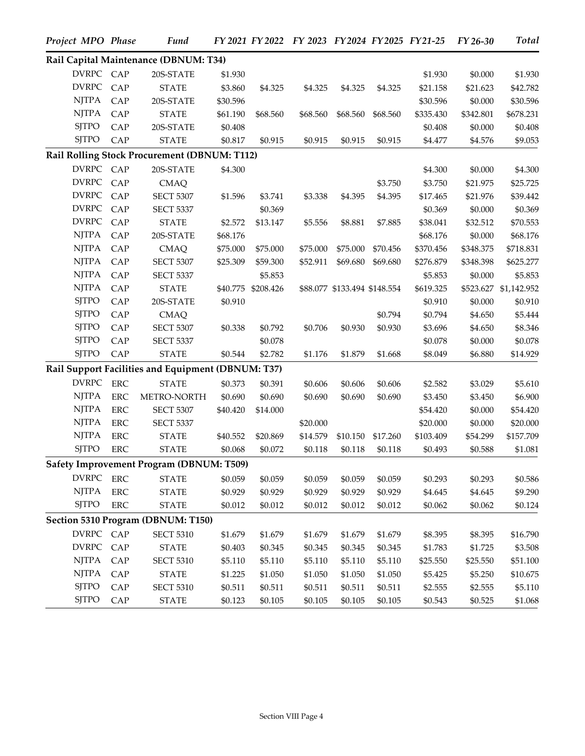| Project MPO Phase |             | Fund                                               |          |                    | FY 2021 FY 2022 FY 2023 FY 2024 FY 2025 FY 21-25 |          |                              |           | FY 26-30  | <b>Total</b> |
|-------------------|-------------|----------------------------------------------------|----------|--------------------|--------------------------------------------------|----------|------------------------------|-----------|-----------|--------------|
|                   |             | Rail Capital Maintenance (DBNUM: T34)              |          |                    |                                                  |          |                              |           |           |              |
| DVRPC CAP         |             | 20S-STATE                                          | \$1.930  |                    |                                                  |          |                              | \$1.930   | \$0.000   | \$1.930      |
| <b>DVRPC</b>      | CAP         | <b>STATE</b>                                       | \$3.860  | \$4.325            | \$4.325                                          | \$4.325  | \$4.325                      | \$21.158  | \$21.623  | \$42.782     |
| <b>NJTPA</b>      | CAP         | 20S-STATE                                          | \$30.596 |                    |                                                  |          |                              | \$30.596  | \$0.000   | \$30.596     |
| <b>NJTPA</b>      | CAP         | <b>STATE</b>                                       | \$61.190 | \$68.560           | \$68.560                                         | \$68.560 | \$68.560                     | \$335.430 | \$342.801 | \$678.231    |
| <b>SJTPO</b>      | CAP         | 20S-STATE                                          | \$0.408  |                    |                                                  |          |                              | \$0.408   | \$0.000   | \$0.408      |
| <b>SJTPO</b>      | CAP         | <b>STATE</b>                                       | \$0.817  | \$0.915            | \$0.915                                          | \$0.915  | \$0.915                      | \$4.477   | \$4.576   | \$9.053      |
|                   |             | Rail Rolling Stock Procurement (DBNUM: T112)       |          |                    |                                                  |          |                              |           |           |              |
| DVRPC CAP         |             | 20S-STATE                                          | \$4.300  |                    |                                                  |          |                              | \$4.300   | \$0.000   | \$4.300      |
| <b>DVRPC</b>      | CAP         | <b>CMAQ</b>                                        |          |                    |                                                  |          | \$3.750                      | \$3.750   | \$21.975  | \$25.725     |
| <b>DVRPC</b>      | CAP         | <b>SECT 5307</b>                                   | \$1.596  | \$3.741            | \$3.338                                          | \$4.395  | \$4.395                      | \$17.465  | \$21.976  | \$39.442     |
| <b>DVRPC</b>      | CAP         | <b>SECT 5337</b>                                   |          | \$0.369            |                                                  |          |                              | \$0.369   | \$0.000   | \$0.369      |
| <b>DVRPC</b>      | CAP         | <b>STATE</b>                                       | \$2.572  | \$13.147           | \$5.556                                          | \$8.881  | \$7.885                      | \$38.041  | \$32.512  | \$70.553     |
| <b>NJTPA</b>      | CAP         | 20S-STATE                                          | \$68.176 |                    |                                                  |          |                              | \$68.176  | \$0.000   | \$68.176     |
| <b>NJTPA</b>      | CAP         | <b>CMAQ</b>                                        | \$75.000 | \$75.000           | \$75.000                                         | \$75.000 | \$70.456                     | \$370.456 | \$348.375 | \$718.831    |
| <b>NJTPA</b>      | CAP         | <b>SECT 5307</b>                                   | \$25.309 | \$59.300           | \$52.911                                         | \$69.680 | \$69.680                     | \$276.879 | \$348.398 | \$625.277    |
| <b>NJTPA</b>      | CAP         | <b>SECT 5337</b>                                   |          | \$5.853            |                                                  |          |                              | \$5.853   | \$0.000   | \$5.853      |
| <b>NJTPA</b>      | CAP         | <b>STATE</b>                                       |          | \$40.775 \$208.426 |                                                  |          | \$88.077 \$133.494 \$148.554 | \$619.325 | \$523.627 | \$1,142.952  |
| <b>SJTPO</b>      | CAP         | 20S-STATE                                          | \$0.910  |                    |                                                  |          |                              | \$0.910   | \$0.000   | \$0.910      |
| <b>SJTPO</b>      | CAP         | <b>CMAQ</b>                                        |          |                    |                                                  |          | \$0.794                      | \$0.794   | \$4.650   | \$5.444      |
| <b>SJTPO</b>      | CAP         | <b>SECT 5307</b>                                   | \$0.338  | \$0.792            | \$0.706                                          | \$0.930  | \$0.930                      | \$3.696   | \$4.650   | \$8.346      |
| <b>SJTPO</b>      | CAP         | <b>SECT 5337</b>                                   |          | \$0.078            |                                                  |          |                              | \$0.078   | \$0.000   | \$0.078      |
| <b>SJTPO</b>      | CAP         | <b>STATE</b>                                       | \$0.544  | \$2.782            | \$1.176                                          | \$1.879  | \$1.668                      | \$8.049   | \$6.880   | \$14.929     |
|                   |             | Rail Support Facilities and Equipment (DBNUM: T37) |          |                    |                                                  |          |                              |           |           |              |
| DVRPC             | <b>ERC</b>  | <b>STATE</b>                                       | \$0.373  | \$0.391            | \$0.606                                          | \$0.606  | \$0.606                      | \$2.582   | \$3.029   | \$5.610      |
| <b>NJTPA</b>      | <b>ERC</b>  | METRO-NORTH                                        | \$0.690  | \$0.690            | \$0.690                                          | \$0.690  | \$0.690                      | \$3.450   | \$3.450   | \$6.900      |
| <b>NJTPA</b>      | ERC         | <b>SECT 5307</b>                                   | \$40.420 | \$14.000           |                                                  |          |                              | \$54.420  | \$0.000   | \$54.420     |
| <b>NJTPA</b>      | <b>ERC</b>  | <b>SECT 5337</b>                                   |          |                    | \$20.000                                         |          |                              | \$20.000  | \$0.000   | \$20.000     |
| <b>NJTPA</b>      | <b>ERC</b>  | <b>STATE</b>                                       | \$40.552 | \$20.869           | \$14.579                                         | \$10.150 | \$17.260                     | \$103.409 | \$54.299  | \$157.709    |
| <b>SJTPO</b>      | <b>ERC</b>  | <b>STATE</b>                                       | \$0.068  | \$0.072            | \$0.118                                          | \$0.118  | \$0.118                      | \$0.493   | \$0.588   | \$1.081      |
|                   |             | Safety Improvement Program (DBNUM: T509)           |          |                    |                                                  |          |                              |           |           |              |
| <b>DVRPC</b>      | ${\rm ERC}$ | <b>STATE</b>                                       | \$0.059  | \$0.059            | \$0.059                                          | \$0.059  | \$0.059                      | \$0.293   | \$0.293   | \$0.586      |
| <b>NJTPA</b>      | <b>ERC</b>  | <b>STATE</b>                                       | \$0.929  | \$0.929            | \$0.929                                          | \$0.929  | \$0.929                      | \$4.645   | \$4.645   | \$9.290      |
| <b>SJTPO</b>      | ERC         | <b>STATE</b>                                       | \$0.012  | \$0.012            | \$0.012                                          | \$0.012  | \$0.012                      | \$0.062   | \$0.062   | \$0.124      |
|                   |             | Section 5310 Program (DBNUM: T150)                 |          |                    |                                                  |          |                              |           |           |              |
| DVRPC CAP         |             | <b>SECT 5310</b>                                   | \$1.679  | \$1.679            | \$1.679                                          | \$1.679  | \$1.679                      | \$8.395   | \$8.395   | \$16.790     |
| <b>DVRPC</b>      | CAP         | <b>STATE</b>                                       | \$0.403  | \$0.345            | \$0.345                                          | \$0.345  | \$0.345                      | \$1.783   | \$1.725   | \$3.508      |
| <b>NJTPA</b>      | CAP         | <b>SECT 5310</b>                                   | \$5.110  | \$5.110            | \$5.110                                          | \$5.110  | \$5.110                      | \$25.550  | \$25.550  | \$51.100     |
| <b>NJTPA</b>      | CAP         | <b>STATE</b>                                       | \$1.225  | \$1.050            | \$1.050                                          | \$1.050  | \$1.050                      | \$5.425   | \$5.250   | \$10.675     |
| <b>SJTPO</b>      | CAP         | <b>SECT 5310</b>                                   | \$0.511  | \$0.511            | \$0.511                                          | \$0.511  | \$0.511                      | \$2.555   | \$2.555   | \$5.110      |
| <b>SJTPO</b>      | CAP         | <b>STATE</b>                                       | \$0.123  | \$0.105            | \$0.105                                          | \$0.105  | \$0.105                      | \$0.543   | \$0.525   | \$1.068      |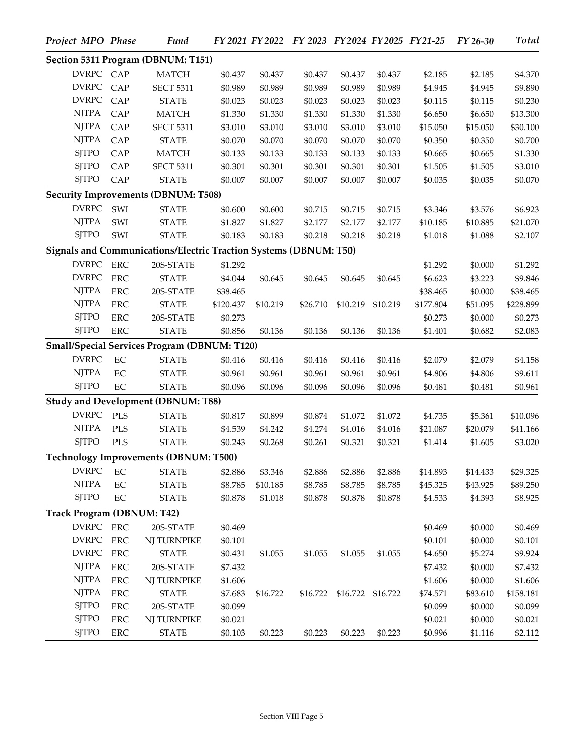| Project MPO Phase          |             | <b>Fund</b>                                                       |           |          | FY 2021 FY 2022 FY 2023 FY 2024 FY 2025 FY 21-25 |                            |          |           | $FY26-30$ | <b>Total</b> |
|----------------------------|-------------|-------------------------------------------------------------------|-----------|----------|--------------------------------------------------|----------------------------|----------|-----------|-----------|--------------|
|                            |             | Section 5311 Program (DBNUM: T151)                                |           |          |                                                  |                            |          |           |           |              |
| DVRPC CAP                  |             | <b>MATCH</b>                                                      | \$0.437   | \$0.437  | \$0.437                                          | \$0.437                    | \$0.437  | \$2.185   | \$2.185   | \$4.370      |
| <b>DVRPC</b>               | CAP         | <b>SECT 5311</b>                                                  | \$0.989   | \$0.989  | \$0.989                                          | \$0.989                    | \$0.989  | \$4.945   | \$4.945   | \$9.890      |
| <b>DVRPC</b>               | CAP         | <b>STATE</b>                                                      | \$0.023   | \$0.023  | \$0.023                                          | \$0.023                    | \$0.023  | \$0.115   | \$0.115   | \$0.230      |
| <b>NJTPA</b>               | CAP         | <b>MATCH</b>                                                      | \$1.330   | \$1.330  | \$1.330                                          | \$1.330                    | \$1.330  | \$6.650   | \$6.650   | \$13.300     |
| <b>NJTPA</b>               | CAP         | <b>SECT 5311</b>                                                  | \$3.010   | \$3.010  | \$3.010                                          | \$3.010                    | \$3.010  | \$15.050  | \$15.050  | \$30.100     |
| <b>NJTPA</b>               | CAP         | <b>STATE</b>                                                      | \$0.070   | \$0.070  | \$0.070                                          | \$0.070                    | \$0.070  | \$0.350   | \$0.350   | \$0.700      |
| <b>SJTPO</b>               | CAP         | <b>MATCH</b>                                                      | \$0.133   | \$0.133  | \$0.133                                          | \$0.133                    | \$0.133  | \$0.665   | \$0.665   | \$1.330      |
| <b>SJTPO</b>               | CAP         | <b>SECT 5311</b>                                                  | \$0.301   | \$0.301  | \$0.301                                          | \$0.301                    | \$0.301  | \$1.505   | \$1.505   | \$3.010      |
| <b>SJTPO</b>               | CAP         | <b>STATE</b>                                                      | \$0.007   | \$0.007  | \$0.007                                          | \$0.007                    | \$0.007  | \$0.035   | \$0.035   | \$0.070      |
|                            |             | <b>Security Improvements (DBNUM: T508)</b>                        |           |          |                                                  |                            |          |           |           |              |
| <b>DVRPC</b>               | SWI         | <b>STATE</b>                                                      | \$0.600   | \$0.600  | \$0.715                                          | \$0.715                    | \$0.715  | \$3.346   | \$3.576   | \$6.923      |
| <b>NJTPA</b>               | SWI         | <b>STATE</b>                                                      | \$1.827   | \$1.827  | \$2.177                                          | \$2.177                    | \$2.177  | \$10.185  | \$10.885  | \$21.070     |
| <b>SJTPO</b>               | SWI         | <b>STATE</b>                                                      | \$0.183   | \$0.183  | \$0.218                                          | \$0.218                    | \$0.218  | \$1.018   | \$1.088   | \$2.107      |
|                            |             | Signals and Communications/Electric Traction Systems (DBNUM: T50) |           |          |                                                  |                            |          |           |           |              |
| <b>DVRPC</b>               | ERC         | 20S-STATE                                                         | \$1.292   |          |                                                  |                            |          | \$1.292   | \$0.000   | \$1.292      |
| <b>DVRPC</b>               | <b>ERC</b>  | <b>STATE</b>                                                      | \$4.044   | \$0.645  | \$0.645                                          | \$0.645                    | \$0.645  | \$6.623   | \$3.223   | \$9.846      |
| <b>NJTPA</b>               | <b>ERC</b>  | 20S-STATE                                                         | \$38.465  |          |                                                  |                            |          | \$38.465  | \$0.000   | \$38.465     |
| <b>NJTPA</b>               | <b>ERC</b>  | <b>STATE</b>                                                      | \$120.437 | \$10.219 | \$26.710                                         | \$10.219                   | \$10.219 | \$177.804 | \$51.095  | \$228.899    |
| <b>SJTPO</b>               | <b>ERC</b>  | 20S-STATE                                                         | \$0.273   |          |                                                  |                            |          | \$0.273   | \$0.000   | \$0.273      |
| <b>SJTPO</b>               | <b>ERC</b>  | <b>STATE</b>                                                      | \$0.856   | \$0.136  | \$0.136                                          | \$0.136                    | \$0.136  | \$1.401   | \$0.682   | \$2.083      |
|                            |             | Small/Special Services Program (DBNUM: T120)                      |           |          |                                                  |                            |          |           |           |              |
| <b>DVRPC</b>               | EC          | <b>STATE</b>                                                      | \$0.416   | \$0.416  | \$0.416                                          | \$0.416                    | \$0.416  | \$2.079   | \$2.079   | \$4.158      |
| <b>NJTPA</b>               | EC          | <b>STATE</b>                                                      | \$0.961   | \$0.961  | \$0.961                                          | \$0.961                    | \$0.961  | \$4.806   | \$4.806   | \$9.611      |
| <b>SJTPO</b>               | EC          | <b>STATE</b>                                                      | \$0.096   | \$0.096  | \$0.096                                          | \$0.096                    | \$0.096  | \$0.481   | \$0.481   | \$0.961      |
|                            |             | <b>Study and Development (DBNUM: T88)</b>                         |           |          |                                                  |                            |          |           |           |              |
| <b>DVRPC</b>               | PLS         | <b>STATE</b>                                                      | \$0.817   | \$0.899  | \$0.874                                          | \$1.072                    | \$1.072  | \$4.735   | \$5.361   | \$10.096     |
| <b>NJTPA</b>               | <b>PLS</b>  | <b>STATE</b>                                                      | \$4.539   | \$4.242  | \$4.274                                          | \$4.016                    | \$4.016  | \$21.087  | \$20.079  | \$41.166     |
| <b>SJTPO</b>               | <b>PLS</b>  | <b>STATE</b>                                                      | \$0.243   | \$0.268  | \$0.261                                          | \$0.321                    | \$0.321  | \$1.414   | \$1.605   | \$3.020      |
|                            |             | <b>Technology Improvements (DBNUM: T500)</b>                      |           |          |                                                  |                            |          |           |           |              |
| <b>DVRPC</b>               | EC          | <b>STATE</b>                                                      | \$2.886   | \$3.346  | \$2.886                                          | \$2.886                    | \$2.886  | \$14.893  | \$14.433  | \$29.325     |
| <b>NJTPA</b>               | $\rm EC$    | <b>STATE</b>                                                      | \$8.785   | \$10.185 | \$8.785                                          | \$8.785                    | \$8.785  | \$45.325  | \$43.925  | \$89.250     |
| <b>SJTPO</b>               | $\rm EC$    | <b>STATE</b>                                                      | \$0.878   | \$1.018  | \$0.878                                          | \$0.878                    | \$0.878  | \$4.533   | \$4.393   | \$8.925      |
| Track Program (DBNUM: T42) |             |                                                                   |           |          |                                                  |                            |          |           |           |              |
| <b>DVRPC</b>               | ${\rm ERC}$ | 20S-STATE                                                         | \$0.469   |          |                                                  |                            |          | \$0.469   | \$0.000   | \$0.469      |
| <b>DVRPC</b>               | ${\rm ERC}$ | NJ TURNPIKE                                                       | \$0.101   |          |                                                  |                            |          | \$0.101   | \$0.000   | \$0.101      |
| <b>DVRPC</b>               | <b>ERC</b>  | <b>STATE</b>                                                      | \$0.431   | \$1.055  | \$1.055                                          | \$1.055                    | \$1.055  | \$4.650   | \$5.274   | \$9.924      |
| <b>NJTPA</b>               | <b>ERC</b>  | 20S-STATE                                                         | \$7.432   |          |                                                  |                            |          | \$7.432   | \$0.000   | \$7.432      |
| <b>NJTPA</b>               | <b>ERC</b>  | NJ TURNPIKE                                                       | \$1.606   |          |                                                  |                            |          | \$1.606   | \$0.000   | \$1.606      |
| <b>NJTPA</b>               | ERC         | <b>STATE</b>                                                      | \$7.683   | \$16.722 |                                                  | \$16.722 \$16.722 \$16.722 |          | \$74.571  | \$83.610  | \$158.181    |
| <b>SJTPO</b>               | <b>ERC</b>  | 20S-STATE                                                         | \$0.099   |          |                                                  |                            |          | \$0.099   | \$0.000   | \$0.099      |
| <b>SJTPO</b>               | ERC         | NJ TURNPIKE                                                       | \$0.021   |          |                                                  |                            |          | \$0.021   | \$0.000   | \$0.021      |
| <b>SJTPO</b>               | ERC         | <b>STATE</b>                                                      | \$0.103   | \$0.223  | \$0.223                                          | \$0.223                    | \$0.223  | \$0.996   | \$1.116   | \$2.112      |